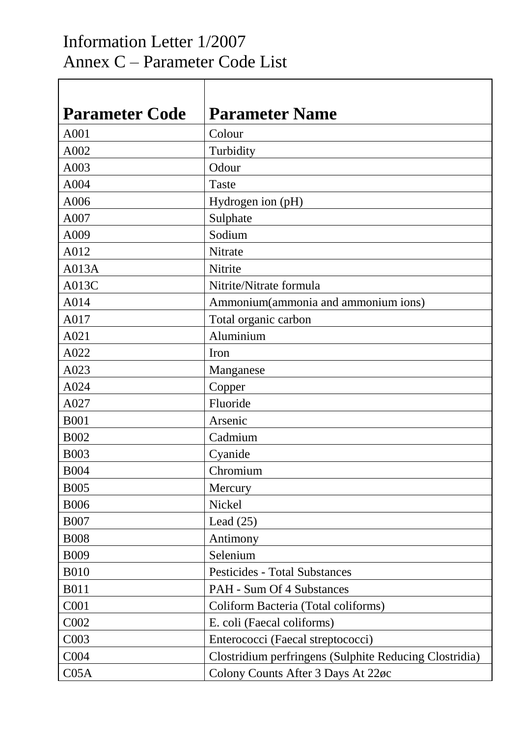## Information Letter 1/2007 Annex C – Parameter Code List

Τ

 $\Gamma$ 

| <b>Parameter Code</b> | <b>Parameter Name</b>                                  |
|-----------------------|--------------------------------------------------------|
| A001                  | Colour                                                 |
| A002                  | Turbidity                                              |
| A003                  | Odour                                                  |
| A004                  | Taste                                                  |
| A006                  | Hydrogen ion (pH)                                      |
| A007                  | Sulphate                                               |
| A009                  | Sodium                                                 |
| A012                  | Nitrate                                                |
| A013A                 | Nitrite                                                |
| A013C                 | Nitrite/Nitrate formula                                |
| A014                  | Ammonium(ammonia and ammonium ions)                    |
| A017                  | Total organic carbon                                   |
| A021                  | Aluminium                                              |
| A022                  | Iron                                                   |
| A023                  | Manganese                                              |
| A024                  | Copper                                                 |
| A027                  | Fluoride                                               |
| <b>B001</b>           | Arsenic                                                |
| <b>B002</b>           | Cadmium                                                |
| <b>B003</b>           | Cyanide                                                |
| <b>B004</b>           | Chromium                                               |
| <b>B005</b>           | Mercury                                                |
| <b>B006</b>           | Nickel                                                 |
| <b>B007</b>           | Lead $(25)$                                            |
| <b>B008</b>           | Antimony                                               |
| <b>B009</b>           | Selenium                                               |
| <b>B010</b>           | <b>Pesticides - Total Substances</b>                   |
| <b>B011</b>           | <b>PAH - Sum Of 4 Substances</b>                       |
| C001                  | Coliform Bacteria (Total coliforms)                    |
| C002                  | E. coli (Faecal coliforms)                             |
| C003                  | Enterococci (Faecal streptococci)                      |
| C004                  | Clostridium perfringens (Sulphite Reducing Clostridia) |
| C <sub>05A</sub>      | Colony Counts After 3 Days At 22øc                     |

٦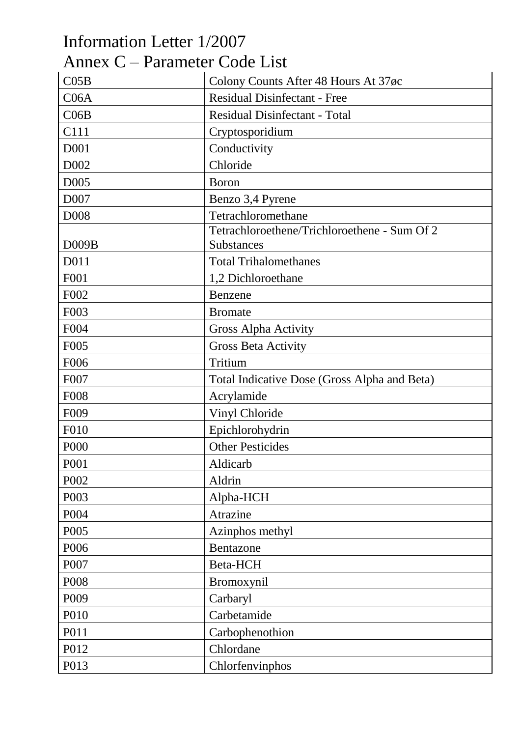| Information Letter 1/2007     |                                              |
|-------------------------------|----------------------------------------------|
| Annex C – Parameter Code List |                                              |
| CO5B                          | Colony Counts After 48 Hours At 37øc         |
| C06A                          | <b>Residual Disinfectant - Free</b>          |
| CO6B                          | <b>Residual Disinfectant - Total</b>         |
| C111                          | Cryptosporidium                              |
| D001                          | Conductivity                                 |
| D <sub>002</sub>              | Chloride                                     |
| D <sub>005</sub>              | <b>Boron</b>                                 |
| D <sub>007</sub>              | Benzo 3,4 Pyrene                             |
| <b>D008</b>                   | Tetrachloromethane                           |
|                               | Tetrachloroethene/Trichloroethene - Sum Of 2 |
| D009B                         | <b>Substances</b>                            |
| D011                          | <b>Total Trihalomethanes</b>                 |
| F001                          | 1,2 Dichloroethane                           |
| F002                          | Benzene                                      |
| F003                          | <b>Bromate</b>                               |
| F004                          | Gross Alpha Activity                         |
| F <sub>005</sub>              | <b>Gross Beta Activity</b>                   |
| F006                          | Tritium                                      |
| F007                          | Total Indicative Dose (Gross Alpha and Beta) |
| <b>F008</b>                   | Acrylamide                                   |
| F <sub>009</sub>              | Vinyl Chloride                               |
| <b>F010</b>                   | Epichlorohydrin                              |
| P000                          | <b>Other Pesticides</b>                      |
| P001                          | Aldicarb                                     |
| P002                          | Aldrin                                       |
| P003                          | Alpha-HCH                                    |
| P004                          | Atrazine                                     |
| P005                          | Azinphos methyl                              |
| P006                          | Bentazone                                    |
| P007                          | Beta-HCH                                     |
| P008                          | Bromoxynil                                   |
| P009                          | Carbaryl                                     |
| P010                          | Carbetamide                                  |
| P011                          | Carbophenothion                              |
| P012                          | Chlordane                                    |
| P013                          | Chlorfenvinphos                              |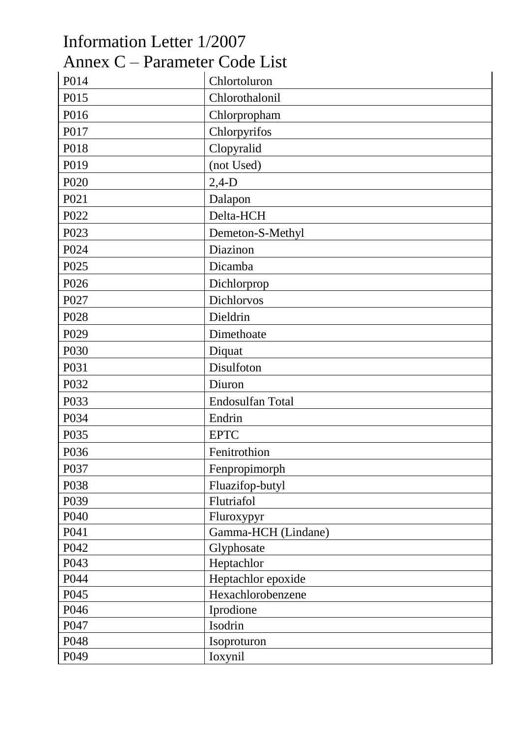| Information Letter 1/2007     |                     |
|-------------------------------|---------------------|
| Annex C – Parameter Code List |                     |
| P014                          | Chlortoluron        |
| P015                          | Chlorothalonil      |
| P016                          | Chlorpropham        |
| P017                          | Chlorpyrifos        |
| P018                          | Clopyralid          |
| P019                          | (not Used)          |
| P <sub>020</sub>              | $2,4-D$             |
| P021                          | Dalapon             |
| P022                          | Delta-HCH           |
| P023                          | Demeton-S-Methyl    |
| P024                          | Diazinon            |
| P025                          | Dicamba             |
| P026                          | Dichlorprop         |
| P027                          | Dichlorvos          |
| P <sub>028</sub>              | Dieldrin            |
| P <sub>029</sub>              | Dimethoate          |
| P030                          | Diquat              |
| P031                          | Disulfoton          |
| P032                          | Diuron              |
| P033                          | Endosulfan Total    |
| P034                          | Endrin              |
| P035                          | <b>EPTC</b>         |
| P036                          | Fenitrothion        |
| P037                          | Fenpropimorph       |
| P038                          | Fluazifop-butyl     |
| P039                          | Flutriafol          |
| P040                          | Fluroxypyr          |
| P041                          | Gamma-HCH (Lindane) |
| P042                          | Glyphosate          |
| P043                          | Heptachlor          |
| P044                          | Heptachlor epoxide  |
| P045                          | Hexachlorobenzene   |
| P046                          | Iprodione           |
| P047                          | Isodrin             |
| P048                          | Isoproturon         |
| P049                          | Ioxynil             |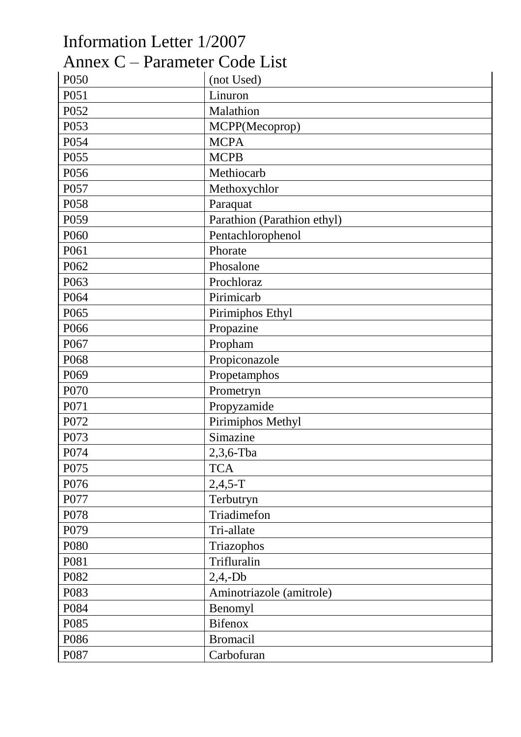## Information Letter 1/2007 Annex C – Parameter Code List

| P050 | (not Used)                  |
|------|-----------------------------|
| P051 | Linuron                     |
| P052 | Malathion                   |
| P053 | MCPP(Mecoprop)              |
| P054 | <b>MCPA</b>                 |
| P055 | <b>MCPB</b>                 |
| P056 | Methiocarb                  |
| P057 | Methoxychlor                |
| P058 | Paraquat                    |
| P059 | Parathion (Parathion ethyl) |
| P060 | Pentachlorophenol           |
| P061 | Phorate                     |
| P062 | Phosalone                   |
| P063 | Prochloraz                  |
| P064 | Pirimicarb                  |
| P065 | Pirimiphos Ethyl            |
| P066 | Propazine                   |
| P067 | Propham                     |
| P068 | Propiconazole               |
| P069 | Propetamphos                |
| P070 | Prometryn                   |
| P071 | Propyzamide                 |
| P072 | Pirimiphos Methyl           |
| P073 | Simazine                    |
| P074 | $2,3,6$ -Tba                |
| P075 | <b>TCA</b>                  |
| P076 | $2,4,5-T$                   |
| P077 | Terbutryn                   |
| P078 | Triadimefon                 |
| P079 | Tri-allate                  |
| P080 | Triazophos                  |
| P081 | Trifluralin                 |
| P082 | $2,4,-Db$                   |
| P083 | Aminotriazole (amitrole)    |
| P084 | Benomyl                     |
| P085 | <b>Bifenox</b>              |
| P086 | <b>Bromacil</b>             |
| P087 | Carbofuran                  |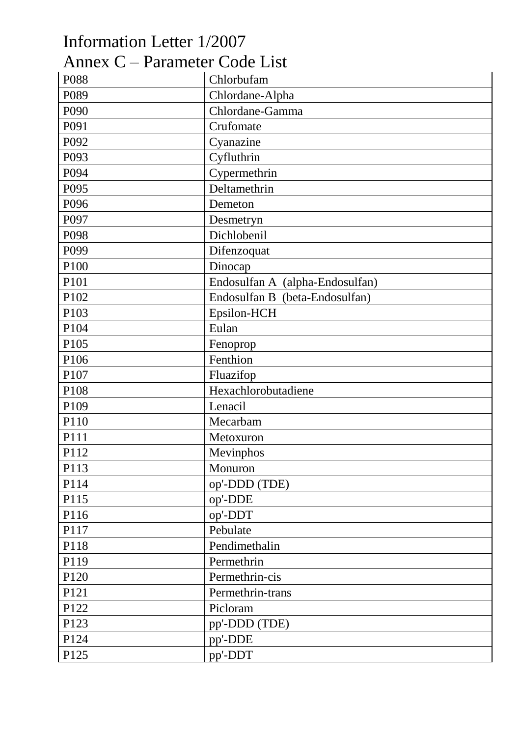| Information Letter 1/2007     |                                 |
|-------------------------------|---------------------------------|
| Annex C – Parameter Code List |                                 |
| P088                          | Chlorbufam                      |
| P089                          | Chlordane-Alpha                 |
| P090                          | Chlordane-Gamma                 |
| P091                          | Crufomate                       |
| P092                          | Cyanazine                       |
| P093                          | Cyfluthrin                      |
| P094                          | Cypermethrin                    |
| P095                          | Deltamethrin                    |
| P096                          | Demeton                         |
| P097                          | Desmetryn                       |
| P098                          | Dichlobenil                     |
| P099                          | Difenzoquat                     |
| P100                          | Dinocap                         |
| P101                          | Endosulfan A (alpha-Endosulfan) |
| P102                          | Endosulfan B (beta-Endosulfan)  |
| P103                          | Epsilon-HCH                     |
| P104                          | Eulan                           |
| P105                          | Fenoprop                        |
| P106                          | Fenthion                        |
| P107                          | Fluazifop                       |
| P108                          | Hexachlorobutadiene             |
| P109                          | Lenacil                         |
| P110                          | Mecarbam                        |
| P111                          | Metoxuron                       |
| P112                          | Mevinphos                       |
| P113                          | Monuron                         |
| P114                          | op'-DDD (TDE)                   |
| P115                          | op'-DDE                         |
| P116                          | op'-DDT                         |
| P117                          | Pebulate                        |
| P118                          | Pendimethalin                   |
| P119                          | Permethrin                      |
| P120                          | Permethrin-cis                  |
| P121                          | Permethrin-trans                |
| P122                          | Picloram                        |
| P123                          | pp'-DDD (TDE)                   |
| P124                          | pp'-DDE                         |
| P125                          | pp'-DDT                         |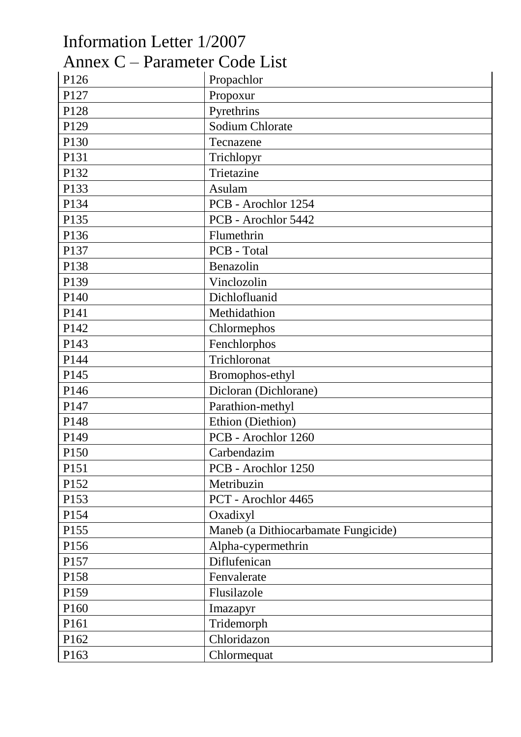| Information Letter 1/2007     |                                     |
|-------------------------------|-------------------------------------|
| Annex C – Parameter Code List |                                     |
| P126                          | Propachlor                          |
| P127                          | Propoxur                            |
| P128                          | Pyrethrins                          |
| P129                          | <b>Sodium Chlorate</b>              |
| P130                          | Tecnazene                           |
| P131                          | Trichlopyr                          |
| P132                          | Trietazine                          |
| P133                          | Asulam                              |
| P134                          | PCB - Arochlor 1254                 |
| P135                          | PCB - Arochlor 5442                 |
| P136                          | Flumethrin                          |
| P137                          | PCB - Total                         |
| P138                          | Benazolin                           |
| P139                          | Vinclozolin                         |
| P140                          | Dichlofluanid                       |
| P141                          | Methidathion                        |
| P142                          | Chlormephos                         |
| P143                          | Fenchlorphos                        |
| P144                          | Trichloronat                        |
| P145                          | Bromophos-ethyl                     |
| P146                          | Dicloran (Dichlorane)               |
| P147                          | Parathion-methyl                    |
| P148                          | Ethion (Diethion)                   |
| P149                          | PCB - Arochlor 1260                 |
| P150                          | Carbendazim                         |
| P151                          | PCB - Arochlor 1250                 |
| P152                          | Metribuzin                          |
| P153                          | PCT - Arochlor 4465                 |
| P154                          | Oxadixyl                            |
| P155                          | Maneb (a Dithiocarbamate Fungicide) |
| P156                          | Alpha-cypermethrin                  |
| P157                          | Diflufenican                        |
| P158                          | Fenvalerate                         |
| P159                          | Flusilazole                         |
| P160                          | Imazapyr                            |
| P161                          | Tridemorph                          |
| P162                          | Chloridazon                         |
| P163                          | Chlormequat                         |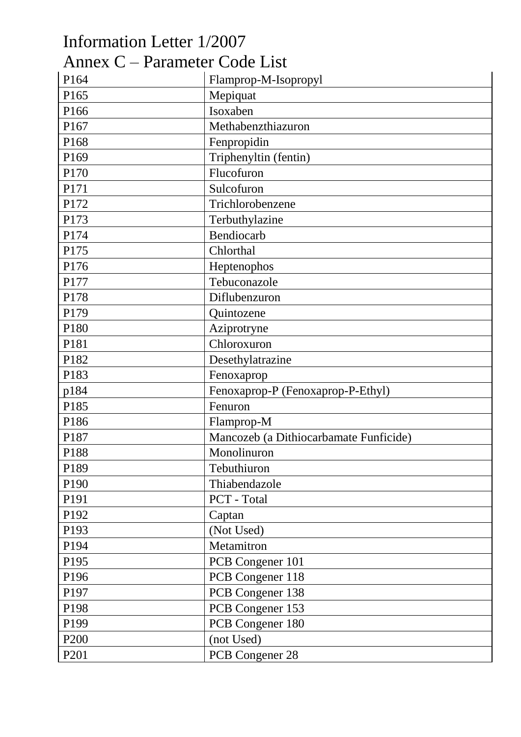| Information Letter 1/2007     |                                        |
|-------------------------------|----------------------------------------|
| Annex C – Parameter Code List |                                        |
| P164                          | Flamprop-M-Isopropyl                   |
| P165                          | Mepiquat                               |
| P166                          | Isoxaben                               |
| P167                          | Methabenzthiazuron                     |
| P168                          | Fenpropidin                            |
| P169                          | Triphenyltin (fentin)                  |
| P170                          | Flucofuron                             |
| P171                          | Sulcofuron                             |
| P172                          | Trichlorobenzene                       |
| P173                          | Terbuthylazine                         |
| P174                          | Bendiocarb                             |
| P175                          | Chlorthal                              |
| P176                          | Heptenophos                            |
| P177                          | Tebuconazole                           |
| P178                          | Diflubenzuron                          |
| P179                          | Quintozene                             |
| P180                          | Aziprotryne                            |
| P181                          | Chloroxuron                            |
| P182                          | Desethylatrazine                       |
| P183                          | Fenoxaprop                             |
| p184                          | Fenoxaprop-P (Fenoxaprop-P-Ethyl)      |
| P185                          | Fenuron                                |
| P186                          | Flamprop-M                             |
| P187                          | Mancozeb (a Dithiocarbamate Funficide) |
| P188                          | Monolinuron                            |
| P189                          | Tebuthiuron                            |
| P190                          | Thiabendazole                          |
| P191                          | PCT - Total                            |
| P192                          | Captan                                 |
| P193                          | (Not Used)                             |
| P194                          | Metamitron                             |
| P195                          | PCB Congener 101                       |
| P196                          | PCB Congener 118                       |
| P197                          | PCB Congener 138                       |
| P198                          | PCB Congener 153                       |
| P199                          | PCB Congener 180                       |
| P <sub>200</sub>              | (not Used)                             |
| P <sub>201</sub>              | PCB Congener 28                        |